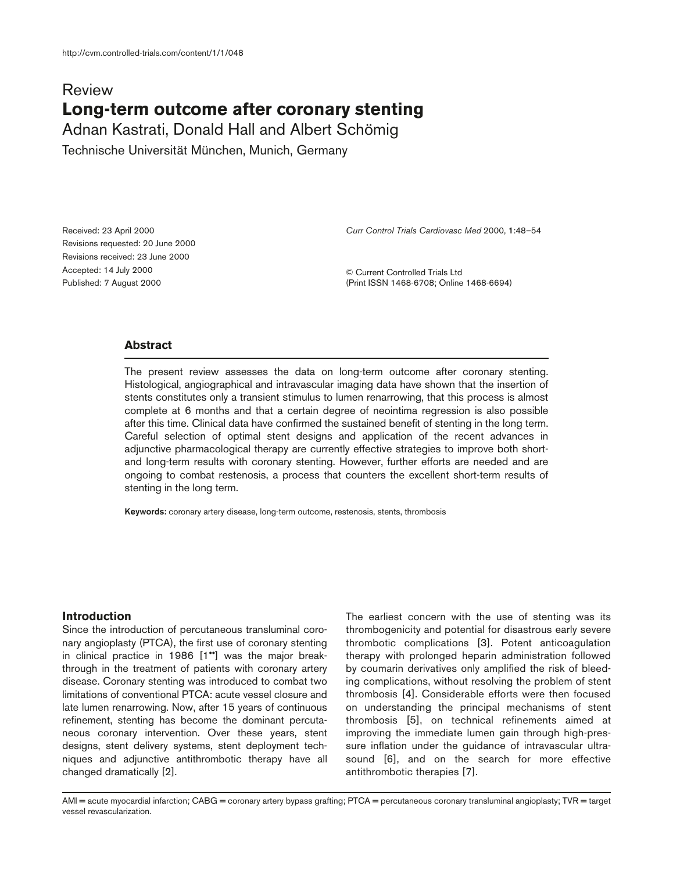# Review **Long-term outcome after coronary stenting**

Adnan Kastrati, Donald Hall and Albert Schömig

Technische Universität München, Munich, Germany

Received: 23 April 2000 Revisions requested: 20 June 2000 Revisions received: 23 June 2000 Accepted: 14 July 2000 Published: 7 August 2000

*Curr Control Trials Cardiovasc Med* 2000, **1**:48–54

© Current Controlled Trials Ltd (Print ISSN 1468-6708; Online 1468-6694)

# **Abstract**

The present review assesses the data on long-term outcome after coronary stenting. Histological, angiographical and intravascular imaging data have shown that the insertion of stents constitutes only a transient stimulus to lumen renarrowing, that this process is almost complete at 6 months and that a certain degree of neointima regression is also possible after this time. Clinical data have confirmed the sustained benefit of stenting in the long term. Careful selection of optimal stent designs and application of the recent advances in adjunctive pharmacological therapy are currently effective strategies to improve both shortand long-term results with coronary stenting. However, further efforts are needed and are ongoing to combat restenosis, a process that counters the excellent short-term results of stenting in the long term.

**Keywords:** coronary artery disease, long-term outcome, restenosis, stents, thrombosis

## **Introduction**

Since the introduction of percutaneous transluminal coronary angioplasty (PTCA), the first use of coronary stenting in clinical practice in 1986 [1••] was the major breakthrough in the treatment of patients with coronary artery disease. Coronary stenting was introduced to combat two limitations of conventional PTCA: acute vessel closure and late lumen renarrowing. Now, after 15 years of continuous refinement, stenting has become the dominant percutaneous coronary intervention. Over these years, stent designs, stent delivery systems, stent deployment techniques and adjunctive antithrombotic therapy have all changed dramatically [2].

The earliest concern with the use of stenting was its thrombogenicity and potential for disastrous early severe thrombotic complications [3]. Potent anticoagulation therapy with prolonged heparin administration followed by coumarin derivatives only amplified the risk of bleeding complications, without resolving the problem of stent thrombosis [4]. Considerable efforts were then focused on understanding the principal mechanisms of stent thrombosis [5], on technical refinements aimed at improving the immediate lumen gain through high-pressure inflation under the guidance of intravascular ultrasound [6], and on the search for more effective antithrombotic therapies [7].

AMI = acute myocardial infarction; CABG = coronary artery bypass grafting; PTCA = percutaneous coronary transluminal angioplasty; TVR = target vessel revascularization.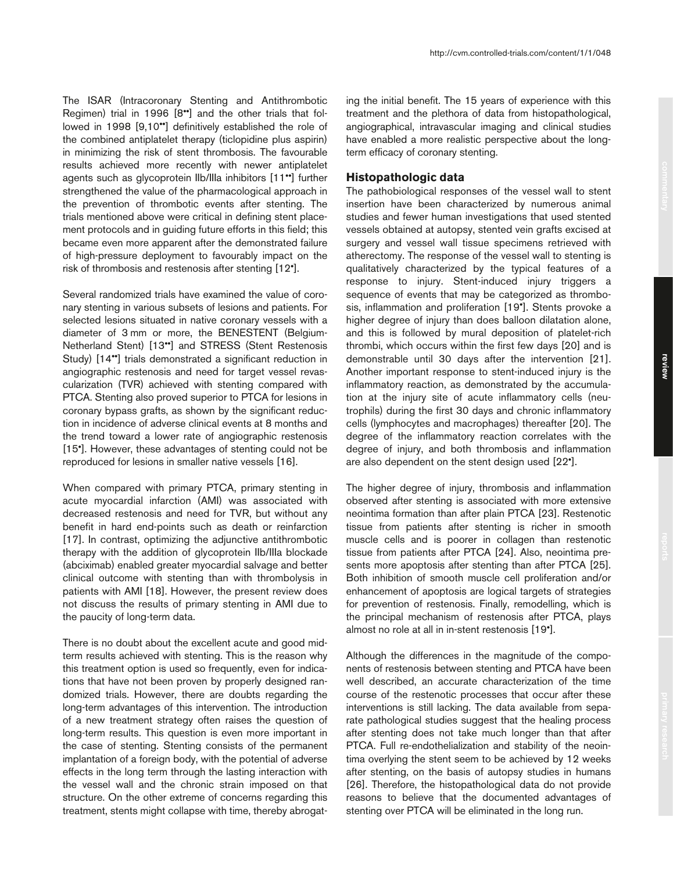The ISAR (Intracoronary Stenting and Antithrombotic Regimen) trial in 1996 [8••] and the other trials that followed in 1998 [9,10••] definitively established the role of the combined antiplatelet therapy (ticlopidine plus aspirin) in minimizing the risk of stent thrombosis. The favourable results achieved more recently with newer antiplatelet agents such as glycoprotein IIb/IIIa inhibitors [11••] further strengthened the value of the pharmacological approach in the prevention of thrombotic events after stenting. The trials mentioned above were critical in defining stent placement protocols and in guiding future efforts in this field; this became even more apparent after the demonstrated failure of high-pressure deployment to favourably impact on the risk of thrombosis and restenosis after stenting [12•].

Several randomized trials have examined the value of coronary stenting in various subsets of lesions and patients. For selected lesions situated in native coronary vessels with a diameter of 3 mm or more, the BENESTENT (Belgium-Netherland Stent) [13••] and STRESS (Stent Restenosis Study) [14••] trials demonstrated a significant reduction in angiographic restenosis and need for target vessel revascularization (TVR) achieved with stenting compared with PTCA. Stenting also proved superior to PTCA for lesions in coronary bypass grafts, as shown by the significant reduction in incidence of adverse clinical events at 8 months and the trend toward a lower rate of angiographic restenosis [15•]. However, these advantages of stenting could not be reproduced for lesions in smaller native vessels [16].

When compared with primary PTCA, primary stenting in acute myocardial infarction (AMI) was associated with decreased restenosis and need for TVR, but without any benefit in hard end-points such as death or reinfarction [17]. In contrast, optimizing the adjunctive antithrombotic therapy with the addition of glycoprotein IIb/IIIa blockade (abciximab) enabled greater myocardial salvage and better clinical outcome with stenting than with thrombolysis in patients with AMI [18]. However, the present review does not discuss the results of primary stenting in AMI due to the paucity of long-term data.

There is no doubt about the excellent acute and good midterm results achieved with stenting. This is the reason why this treatment option is used so frequently, even for indications that have not been proven by properly designed randomized trials. However, there are doubts regarding the long-term advantages of this intervention. The introduction of a new treatment strategy often raises the question of long-term results. This question is even more important in the case of stenting. Stenting consists of the permanent implantation of a foreign body, with the potential of adverse effects in the long term through the lasting interaction with the vessel wall and the chronic strain imposed on that structure. On the other extreme of concerns regarding this treatment, stents might collapse with time, thereby abrogating the initial benefit. The 15 years of experience with this treatment and the plethora of data from histopathological, angiographical, intravascular imaging and clinical studies have enabled a more realistic perspective about the longterm efficacy of coronary stenting.

# **Histopathologic data**

The pathobiological responses of the vessel wall to stent insertion have been characterized by numerous animal studies and fewer human investigations that used stented vessels obtained at autopsy, stented vein grafts excised at surgery and vessel wall tissue specimens retrieved with atherectomy. The response of the vessel wall to stenting is qualitatively characterized by the typical features of a response to injury. Stent-induced injury triggers a sequence of events that may be categorized as thrombosis, inflammation and proliferation [19•]. Stents provoke a higher degree of injury than does balloon dilatation alone, and this is followed by mural deposition of platelet-rich thrombi, which occurs within the first few days [20] and is demonstrable until 30 days after the intervention [21]. Another important response to stent-induced injury is the inflammatory reaction, as demonstrated by the accumulation at the injury site of acute inflammatory cells (neutrophils) during the first 30 days and chronic inflammatory cells (lymphocytes and macrophages) thereafter [20]. The degree of the inflammatory reaction correlates with the degree of injury, and both thrombosis and inflammation are also dependent on the stent design used [22•].

The higher degree of injury, thrombosis and inflammation observed after stenting is associated with more extensive neointima formation than after plain PTCA [23]. Restenotic tissue from patients after stenting is richer in smooth muscle cells and is poorer in collagen than restenotic tissue from patients after PTCA [24]. Also, neointima presents more apoptosis after stenting than after PTCA [25]. Both inhibition of smooth muscle cell proliferation and/or enhancement of apoptosis are logical targets of strategies for prevention of restenosis. Finally, remodelling, which is the principal mechanism of restenosis after PTCA, plays almost no role at all in in-stent restenosis [19•].

Although the differences in the magnitude of the components of restenosis between stenting and PTCA have been well described, an accurate characterization of the time course of the restenotic processes that occur after these interventions is still lacking. The data available from separate pathological studies suggest that the healing process after stenting does not take much longer than that after PTCA. Full re-endothelialization and stability of the neointima overlying the stent seem to be achieved by 12 weeks after stenting, on the basis of autopsy studies in humans [26]. Therefore, the histopathological data do not provide reasons to believe that the documented advantages of stenting over PTCA will be eliminated in the long run.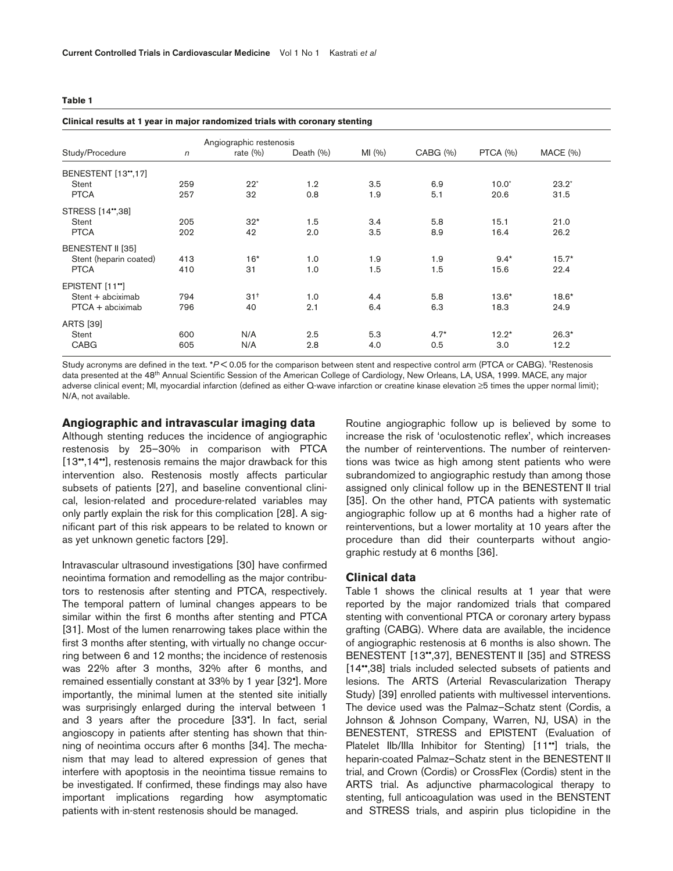#### **Table 1**

| Clinical results at 1 year in major randomized trials with coronary stenting |            |                         |               |        |          |          |          |  |
|------------------------------------------------------------------------------|------------|-------------------------|---------------|--------|----------|----------|----------|--|
|                                                                              |            | Angiographic restenosis |               |        |          |          |          |  |
| Study/Procedure                                                              | $\sqrt{n}$ | rate $(\% )$            | Death $(\% )$ | MI(96) | CABG (%) | PTCA (%) | MACE (%) |  |
| BENESTENT [13*,17]                                                           |            |                         |               |        |          |          |          |  |
| Stent                                                                        | 259        | $22*$                   | 1.2           | 3.5    | 6.9      | $10.0*$  | $23.2*$  |  |
| <b>PTCA</b>                                                                  | 257        | 32                      | 0.8           | 1.9    | 5.1      | 20.6     | 31.5     |  |
| STRESS [14",38]                                                              |            |                         |               |        |          |          |          |  |
| Stent                                                                        | 205        | $32*$                   | 1.5           | 3.4    | 5.8      | 15.1     | 21.0     |  |
| <b>PTCA</b>                                                                  | 202        | 42                      | 2.0           | 3.5    | 8.9      | 16.4     | 26.2     |  |
| BENESTENT II [35]                                                            |            |                         |               |        |          |          |          |  |
| Stent (heparin coated)                                                       | 413        | $16*$                   | 1.0           | 1.9    | 1.9      | $9.4*$   | $15.7*$  |  |
| <b>PTCA</b>                                                                  | 410        | 31                      | 1.0           | 1.5    | 1.5      | 15.6     | 22.4     |  |
| EPISTENT [11"]                                                               |            |                         |               |        |          |          |          |  |
| Stent + abciximab                                                            | 794        | $31^{+}$                | 1.0           | 4.4    | 5.8      | $13.6*$  | $18.6*$  |  |
| $PTCA + abciximab$                                                           | 796        | 40                      | 2.1           | 6.4    | 6.3      | 18.3     | 24.9     |  |
| <b>ARTS [39]</b>                                                             |            |                         |               |        |          |          |          |  |
| Stent                                                                        | 600        | N/A                     | 2.5           | 5.3    | $4.7*$   | $12.2*$  | $26.3*$  |  |
| <b>CABG</b>                                                                  | 605        | N/A                     | 2.8           | 4.0    | 0.5      | 3.0      | 12.2     |  |

Study acronyms are defined in the text. \**P* < 0.05 for the comparison between stent and respective control arm (PTCA or CABG). \*Restenosis data presented at the 48th Annual Scientific Session of the American College of Cardiology, New Orleans, LA, USA, 1999. MACE, any major adverse clinical event; MI, myocardial infarction (defined as either Q-wave infarction or creatine kinase elevation ≥5 times the upper normal limit); N/A, not available.

#### **Angiographic and intravascular imaging data**

Although stenting reduces the incidence of angiographic restenosis by 25–30% in comparison with PTCA [13\*,14\*], restenosis remains the major drawback for this intervention also. Restenosis mostly affects particular subsets of patients [27], and baseline conventional clinical, lesion-related and procedure-related variables may only partly explain the risk for this complication [28]. A significant part of this risk appears to be related to known or as yet unknown genetic factors [29].

Intravascular ultrasound investigations [30] have confirmed neointima formation and remodelling as the major contributors to restenosis after stenting and PTCA, respectively. The temporal pattern of luminal changes appears to be similar within the first 6 months after stenting and PTCA [31]. Most of the lumen renarrowing takes place within the first 3 months after stenting, with virtually no change occurring between 6 and 12 months; the incidence of restenosis was 22% after 3 months, 32% after 6 months, and remained essentially constant at 33% by 1 year [32•]. More importantly, the minimal lumen at the stented site initially was surprisingly enlarged during the interval between 1 and 3 years after the procedure [33•]. In fact, serial angioscopy in patients after stenting has shown that thinning of neointima occurs after 6 months [34]. The mechanism that may lead to altered expression of genes that interfere with apoptosis in the neointima tissue remains to be investigated. If confirmed, these findings may also have important implications regarding how asymptomatic patients with in-stent restenosis should be managed.

Routine angiographic follow up is believed by some to increase the risk of 'oculostenotic reflex', which increases the number of reinterventions. The number of reinterventions was twice as high among stent patients who were subrandomized to angiographic restudy than among those assigned only clinical follow up in the BENESTENT II trial [35]. On the other hand, PTCA patients with systematic angiographic follow up at 6 months had a higher rate of reinterventions, but a lower mortality at 10 years after the procedure than did their counterparts without angiographic restudy at 6 months [36].

#### **Clinical data**

Table 1 shows the clinical results at 1 year that were reported by the major randomized trials that compared stenting with conventional PTCA or coronary artery bypass grafting (CABG). Where data are available, the incidence of angiographic restenosis at 6 months is also shown. The BENESTENT [13••,37], BENESTENT II [35] and STRESS [14••,38] trials included selected subsets of patients and lesions. The ARTS (Arterial Revascularization Therapy Study) [39] enrolled patients with multivessel interventions. The device used was the Palmaz–Schatz stent (Cordis, a Johnson & Johnson Company, Warren, NJ, USA) in the BENESTENT, STRESS and EPISTENT (Evaluation of Platelet IIb/IIIa Inhibitor for Stenting) [11<sup>\*</sup>] trials, the heparin-coated Palmaz–Schatz stent in the BENESTENT II trial, and Crown (Cordis) or CrossFlex (Cordis) stent in the ARTS trial. As adjunctive pharmacological therapy to stenting, full anticoagulation was used in the BENSTENT and STRESS trials, and aspirin plus ticlopidine in the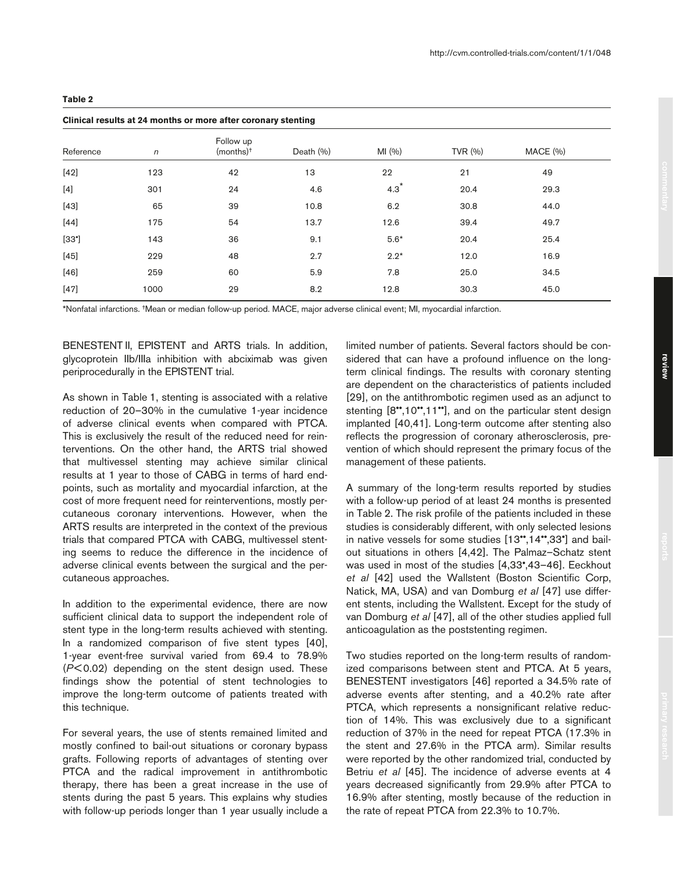|--|--|

# **Clinical results at 24 months or more after coronary stenting**

|                |            |                                      | Company and the monthly of more and coronary stemmy |        |            |          |  |  |  |  |  |  |
|----------------|------------|--------------------------------------|-----------------------------------------------------|--------|------------|----------|--|--|--|--|--|--|
| Reference      | $\sqrt{n}$ | Follow up<br>$(months)$ <sup>+</sup> | Death (%)                                           | MI(%)  | TVR $(% )$ | MACE (%) |  |  |  |  |  |  |
| $[42]$         | 123        | 42                                   | 13                                                  | 22     | 21         | 49       |  |  |  |  |  |  |
| $[4]$          | 301        | 24                                   | 4.6                                                 | $4.3*$ | 20.4       | 29.3     |  |  |  |  |  |  |
| $[43]$         | 65         | 39                                   | 10.8                                                | 6.2    | 30.8       | 44.0     |  |  |  |  |  |  |
| $[44]$         | 175        | 54                                   | 13.7                                                | 12.6   | 39.4       | 49.7     |  |  |  |  |  |  |
| $[33^{\circ}]$ | 143        | 36                                   | 9.1                                                 | $5.6*$ | 20.4       | 25.4     |  |  |  |  |  |  |
| $[45]$         | 229        | 48                                   | 2.7                                                 | $2.2*$ | 12.0       | 16.9     |  |  |  |  |  |  |
| $[46]$         | 259        | 60                                   | 5.9                                                 | 7.8    | 25.0       | 34.5     |  |  |  |  |  |  |
| $[47]$         | 1000       | 29                                   | 8.2                                                 | 12.8   | 30.3       | 45.0     |  |  |  |  |  |  |
|                |            |                                      |                                                     |        |            |          |  |  |  |  |  |  |

\*Nonfatal infarctions. †Mean or median follow-up period. MACE, major adverse clinical event; MI, myocardial infarction.

BENESTENT II, EPISTENT and ARTS trials. In addition, glycoprotein IIb/IIIa inhibition with abciximab was given periprocedurally in the EPISTENT trial.

As shown in Table 1, stenting is associated with a relative reduction of 20–30% in the cumulative 1-year incidence of adverse clinical events when compared with PTCA. This is exclusively the result of the reduced need for reinterventions. On the other hand, the ARTS trial showed that multivessel stenting may achieve similar clinical results at 1 year to those of CABG in terms of hard endpoints, such as mortality and myocardial infarction, at the cost of more frequent need for reinterventions, mostly percutaneous coronary interventions. However, when the ARTS results are interpreted in the context of the previous trials that compared PTCA with CABG, multivessel stenting seems to reduce the difference in the incidence of adverse clinical events between the surgical and the percutaneous approaches.

In addition to the experimental evidence, there are now sufficient clinical data to support the independent role of stent type in the long-term results achieved with stenting. In a randomized comparison of five stent types [40], 1-year event-free survival varied from 69.4 to 78.9% (*P*< 0.02) depending on the stent design used. These findings show the potential of stent technologies to improve the long-term outcome of patients treated with this technique.

For several years, the use of stents remained limited and mostly confined to bail-out situations or coronary bypass grafts. Following reports of advantages of stenting over PTCA and the radical improvement in antithrombotic therapy, there has been a great increase in the use of stents during the past 5 years. This explains why studies with follow-up periods longer than 1 year usually include a

limited number of patients. Several factors should be considered that can have a profound influence on the longterm clinical findings. The results with coronary stenting are dependent on the characteristics of patients included [29], on the antithrombotic regimen used as an adjunct to stenting [8",10",11"], and on the particular stent design implanted [40,41]. Long-term outcome after stenting also reflects the progression of coronary atherosclerosis, prevention of which should represent the primary focus of the management of these patients.

A summary of the long-term results reported by studies with a follow-up period of at least 24 months is presented in Table 2. The risk profile of the patients included in these studies is considerably different, with only selected lesions in native vessels for some studies [13••,14••,33•] and bailout situations in others [4,42]. The Palmaz–Schatz stent was used in most of the studies [4,33•,43–46]. Eeckhout *et al* [42] used the Wallstent (Boston Scientific Corp, Natick, MA, USA) and van Domburg *et al* [47] use different stents, including the Wallstent. Except for the study of van Domburg *et al* [47], all of the other studies applied full anticoagulation as the poststenting regimen.

Two studies reported on the long-term results of randomized comparisons between stent and PTCA. At 5 years, BENESTENT investigators [46] reported a 34.5% rate of adverse events after stenting, and a 40.2% rate after PTCA, which represents a nonsignificant relative reduction of 14%. This was exclusively due to a significant reduction of 37% in the need for repeat PTCA (17.3% in the stent and 27.6% in the PTCA arm). Similar results were reported by the other randomized trial, conducted by Betriu *et al* [45]. The incidence of adverse events at 4 years decreased significantly from 29.9% after PTCA to 16.9% after stenting, mostly because of the reduction in the rate of repeat PTCA from 22.3% to 10.7%.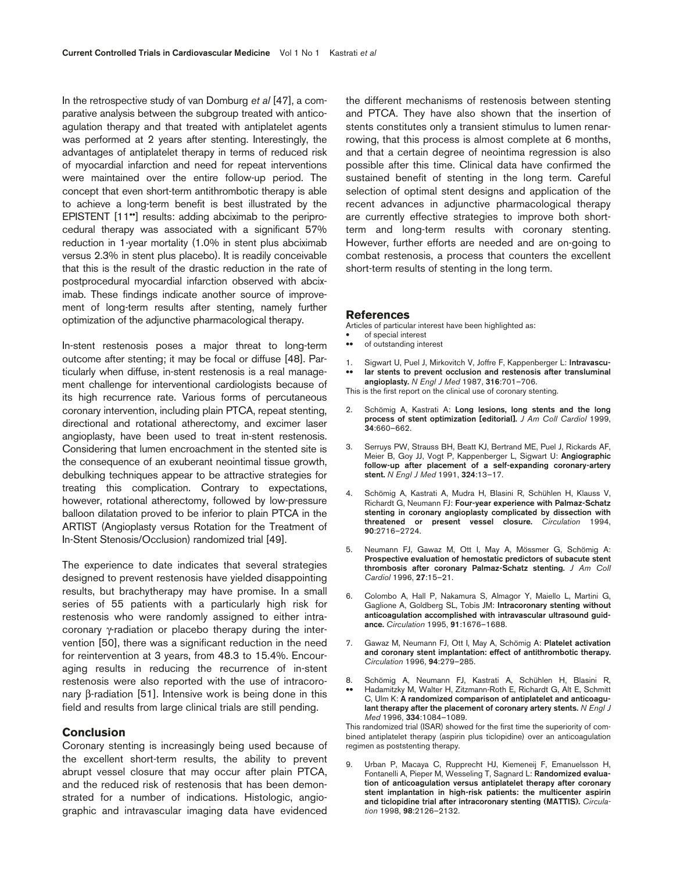In the retrospective study of van Domburg *et al* [47], a comparative analysis between the subgroup treated with anticoagulation therapy and that treated with antiplatelet agents was performed at 2 years after stenting. Interestingly, the advantages of antiplatelet therapy in terms of reduced risk of myocardial infarction and need for repeat interventions were maintained over the entire follow-up period. The concept that even short-term antithrombotic therapy is able to achieve a long-term benefit is best illustrated by the EPISTENT [11<sup>\*</sup>] results: adding abciximab to the periprocedural therapy was associated with a significant 57% reduction in 1-year mortality (1.0% in stent plus abciximab versus 2.3% in stent plus placebo). It is readily conceivable that this is the result of the drastic reduction in the rate of postprocedural myocardial infarction observed with abciximab. These findings indicate another source of improvement of long-term results after stenting, namely further optimization of the adjunctive pharmacological therapy.

In-stent restenosis poses a major threat to long-term outcome after stenting; it may be focal or diffuse [48]. Particularly when diffuse, in-stent restenosis is a real management challenge for interventional cardiologists because of its high recurrence rate. Various forms of percutaneous coronary intervention, including plain PTCA, repeat stenting, directional and rotational atherectomy, and excimer laser angioplasty, have been used to treat in-stent restenosis. Considering that lumen encroachment in the stented site is the consequence of an exuberant neointimal tissue growth, debulking techniques appear to be attractive strategies for treating this complication. Contrary to expectations, however, rotational atherectomy, followed by low-pressure balloon dilatation proved to be inferior to plain PTCA in the ARTIST (Angioplasty versus Rotation for the Treatment of In-Stent Stenosis/Occlusion) randomized trial [49].

The experience to date indicates that several strategies designed to prevent restenosis have yielded disappointing results, but brachytherapy may have promise. In a small series of 55 patients with a particularly high risk for restenosis who were randomly assigned to either intracoronary γ-radiation or placebo therapy during the intervention [50], there was a significant reduction in the need for reintervention at 3 years, from 48.3 to 15.4%. Encouraging results in reducing the recurrence of in-stent restenosis were also reported with the use of intracoronary β-radiation [51]. Intensive work is being done in this field and results from large clinical trials are still pending.

### **Conclusion**

Coronary stenting is increasingly being used because of the excellent short-term results, the ability to prevent abrupt vessel closure that may occur after plain PTCA, and the reduced risk of restenosis that has been demonstrated for a number of indications. Histologic, angiographic and intravascular imaging data have evidenced the different mechanisms of restenosis between stenting and PTCA. They have also shown that the insertion of stents constitutes only a transient stimulus to lumen renarrowing, that this process is almost complete at 6 months, and that a certain degree of neointima regression is also possible after this time. Clinical data have confirmed the sustained benefit of stenting in the long term. Careful selection of optimal stent designs and application of the recent advances in adjunctive pharmacological therapy are currently effective strategies to improve both shortterm and long-term results with coronary stenting. However, further efforts are needed and are on-going to combat restenosis, a process that counters the excellent short-term results of stenting in the long term.

#### **References**

Articles of particular interest have been highlighted as:

- of special interest<br>• of outstanding inte
- of outstanding interest
- 1. Sigwart U, Puel J, Mirkovitch V, Joffre F, Kappenberger L: **Intravascu-**
- •• **lar stents to prevent occlusion and restenosis after transluminal angioplasty.** *N Engl J Med* 1987, **316**:701–706.

This is the first report on the clinical use of coronary stenting.

- 2. Schömig A, Kastrati A: **Long lesions, long stents and the long process of stent optimization [editorial].** *J Am Coll Cardiol* 1999, **34**:660–662.
- 3. Serruys PW, Strauss BH, Beatt KJ, Bertrand ME, Puel J, Rickards AF, Meier B, Goy JJ, Vogt P, Kappenberger L, Sigwart U: **Angiographic follow-up after placement of a self-expanding coronary-artery stent.** *N Engl J Med* 1991, **324**:13–17.
- 4. Schömig A, Kastrati A, Mudra H, Blasini R, Schühlen H, Klauss V, Richardt G, Neumann FJ: **Four-year experience with Palmaz-Schatz stenting in coronary angioplasty complicated by dissection with threatened or present vessel closure.** *Circulation* 1994, **90**:2716–2724.
- 5. Neumann FJ, Gawaz M, Ott I, May A, Mössmer G, Schömig A: **Prospective evaluation of hemostatic predictors of subacute stent thrombosis after coronary Palmaz-Schatz stenting.** *J Am Coll Cardiol* 1996, **27**:15–21.
- 6. Colombo A, Hall P, Nakamura S, Almagor Y, Maiello L, Martini G, Gaglione A, Goldberg SL, Tobis JM: **Intracoronary stenting without anticoagulation accomplished with intravascular ultrasound guidance.** *Circulation* 1995, **91**:1676–1688.
- 7. Gawaz M, Neumann FJ, Ott I, May A, Schömig A: **Platelet activation and coronary stent implantation: effect of antithrombotic therapy.** *Circulation* 1996, **94**:279–285.
- 8. Schömig A, Neumann FJ, Kastrati A, Schühlen H, Blasini R, •• Hadamitzky M, Walter H, Zitzmann-Roth E, Richardt G, Alt E, Schmitt
- C, Ulm K: **A randomized comparison of antiplatelet and anticoagulant therapy after the placement of coronary artery stents.** *N Engl J Med* 1996, **334**:1084–1089.

This randomized trial (ISAR) showed for the first time the superiority of combined antiplatelet therapy (aspirin plus ticlopidine) over an anticoagulation regimen as poststenting therapy.

9. Urban P, Macaya C, Rupprecht HJ, Kiemeneij F, Emanuelsson H, Fontanelli A, Pieper M, Wesseling T, Sagnard L: **Randomized evaluation of anticoagulation versus antiplatelet therapy after coronary stent implantation in high-risk patients: the multicenter aspirin and ticlopidine trial after intracoronary stenting (MATTIS).** *Circulation* 1998, **98**:2126–2132.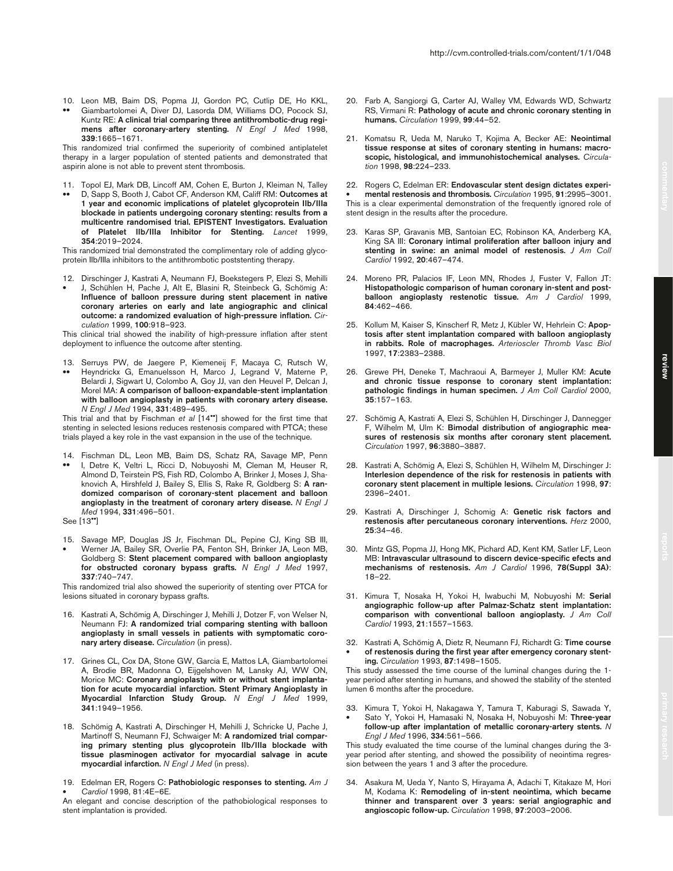- 10. Leon MB, Baim DS, Popma JJ, Gordon PC, Cutlip DE, Ho KKL,
- •• Giambartolomei A, Diver DJ, Lasorda DM, Williams DO, Pocock SJ, Kuntz RE: **A clinical trial comparing three antithrombotic-drug regimens after coronary-artery stenting.** *N Engl J Med* 1998, **339**:1665–1671.

This randomized trial confirmed the superiority of combined antiplatelet therapy in a larger population of stented patients and demonstrated that aspirin alone is not able to prevent stent thrombosis.

- 11. Topol EJ, Mark DB, Lincoff AM, Cohen E, Burton J, Kleiman N, Talley
- •• D, Sapp S, Booth J, Cabot CF, Anderson KM, Califf RM: **Outcomes at 1 year and economic implications of platelet glycoprotein IIb/IIIa blockade in patients undergoing coronary stenting: results from a multicentre randomised trial. EPISTENT Investigators. Evaluation of Platelet IIb/IIIa Inhibitor for Stenting.** *Lancet* 1999, **354**:2019–2024.

This randomized trial demonstrated the complimentary role of adding glycoprotein IIb/IIIa inhibitors to the antithrombotic poststenting therapy.

- 12. Dirschinger J, Kastrati A, Neumann FJ, Boekstegers P, Elezi S, Mehilli
- J, Schühlen H, Pache J, Alt E, Blasini R, Steinbeck G, Schömig A: **Influence of balloon pressure during stent placement in native coronary arteries on early and late angiographic and clinical outcome: a randomized evaluation of high-pressure inflation.** *Circulation* 1999, **100**:918–923.

This clinical trial showed the inability of high-pressure inflation after stent deployment to influence the outcome after stenting.

13. Serruys PW, de Jaegere P, Kiemeneij F, Macaya C, Rutsch W, •• Heyndrickx G, Emanuelsson H, Marco J, Legrand V, Materne P, Belardi J, Sigwart U, Colombo A, Goy JJ, van den Heuvel P, Delcan J, Morel MA: **A comparison of balloon-expandable-stent implantation with balloon angioplasty in patients with coronary artery disease.** *N Engl J Med* 1994, **331**:489–495.

This trial and that by Fischman *et al* [14••] showed for the first time that stenting in selected lesions reduces restenosis compared with PTCA; these trials played a key role in the vast expansion in the use of the technique.

- 14. Fischman DL, Leon MB, Baim DS, Schatz RA, Savage MP, Penn
- •• I, Detre K, Veltri L, Ricci D, Nobuyoshi M, Cleman M, Heuser R, Almond D, Teirstein PS, Fish RD, Colombo A, Brinker J, Moses J, Shaknovich A, Hirshfeld J, Bailey S, Ellis S, Rake R, Goldberg S: **A randomized comparison of coronary-stent placement and balloon angioplasty in the treatment of coronary artery disease.** *N Engl J Med* 1994, **331**:496–501.

See [13••]

15. Savage MP, Douglas JS Jr, Fischman DL, Pepine CJ, King SB III, • Werner JA, Bailey SR, Overlie PA, Fenton SH, Brinker JA, Leon MB, Goldberg S: **Stent placement compared with balloon angioplasty for obstructed coronary bypass grafts.** *N Engl J Med* 1997, **337**:740–747.

This randomized trial also showed the superiority of stenting over PTCA for lesions situated in coronary bypass grafts.

- 16. Kastrati A, Schömig A, Dirschinger J, Mehilli J, Dotzer F, von Welser N, Neumann FJ: **A randomized trial comparing stenting with balloon angioplasty in small vessels in patients with symptomatic coronary artery disease.** *Circulation* (in press).
- 17. Grines CL, Cox DA, Stone GW, Garcia E, Mattos LA, Giambartolomei A, Brodie BR, Madonna O, Eijgelshoven M, Lansky AJ, WW ON, Morice MC: **Coronary angioplasty with or without stent implantation for acute myocardial infarction. Stent Primary Angioplasty in Myocardial Infarction Study Group.** *N Engl J Med* 1999, **341**:1949–1956.
- 18. Schömig A, Kastrati A, Dirschinger H, Mehilli J, Schricke U, Pache J, Martinoff S, Neumann FJ, Schwaiger M: **A randomized trial comparing primary stenting plus glycoprotein IIb/IIIa blockade with tissue plasminogen activator for myocardial salvage in acute myocardial infarction.** *N Engl J Med* (in press).
- 19. Edelman ER, Rogers C: **Pathobiologic responses to stenting.** *Am J*  • *Cardiol* 1998, 81:4E–6E.

An elegant and concise description of the pathobiological responses to stent implantation is provided.

20. Farb A, Sangiorgi G, Carter AJ, Walley VM, Edwards WD, Schwartz RS, Virmani R: **Pathology of acute and chronic coronary stenting in humans.** *Circulation* 1999, **99**:44–52.

http://cvm.controlled-trials.com/content/1/1/048

21. Komatsu R, Ueda M, Naruko T, Kojima A, Becker AE: **Neointimal tissue response at sites of coronary stenting in humans: macroscopic, histological, and immunohistochemical analyses.** *Circulation* 1998, **98**:224–233.

22. Rogers C, Edelman ER: **Endovascular stent design dictates experi-** • **mental restenosis and thrombosis.** *Circulation* 1995, **91**:2995–3001. This is a clear experimental demonstration of the frequently ignored role of stent design in the results after the procedure.

- 23. Karas SP, Gravanis MB, Santoian EC, Robinson KA, Anderberg KA, King SA III: **Coronary intimal proliferation after balloon injury and stenting in swine: an animal model of restenosis.** *J Am Coll Cardiol* 1992, **20**:467–474.
- 24. Moreno PR, Palacios IF, Leon MN, Rhodes J, Fuster V, Fallon JT: **Histopathologic comparison of human coronary in-stent and postballoon angioplasty restenotic tissue.** *Am J Cardiol* 1999, **84**:462–466.
- 25. Kollum M, Kaiser S, Kinscherf R, Metz J, Kübler W, Hehrlein C: **Apoptosis after stent implantation compared with balloon angioplasty in rabbits. Role of macrophages.** *Arterioscler Thromb Vasc Biol* 1997, **17**:2383–2388.
- 26. Grewe PH, Deneke T, Machraoui A, Barmeyer J, Muller KM: **Acute and chronic tissue response to coronary stent implantation: pathologic findings in human specimen.** *J Am Coll Cardiol* 2000, **35**:157–163.
- 27. Schömig A, Kastrati A, Elezi S, Schühlen H, Dirschinger J, Dannegger F, Wilhelm M, Ulm K: **Bimodal distribution of angiographic measures of restenosis six months after coronary stent placement.** *Circulation* 1997, **96**:3880–3887.
- 28. Kastrati A, Schömig A, Elezi S, Schühlen H, Wilhelm M, Dirschinger J: **Interlesion dependence of the risk for restenosis in patients with coronary stent placement in multiple lesions.** *Circulation* 1998, **97**: 2396–2401.
- 29. Kastrati A, Dirschinger J, Schomig A: **Genetic risk factors and restenosis after percutaneous coronary interventions.** *Herz* 2000, **25**:34–46.
- 30. Mintz GS, Popma JJ, Hong MK, Pichard AD, Kent KM, Satler LF, Leon MB: **Intravascular ultrasound to discern device-specific efects and mechanisms of restenosis.** *Am J Cardiol* 1996, **78(Suppl 3A)**: 18–22.
- 31. Kimura T, Nosaka H, Yokoi H, Iwabuchi M, Nobuyoshi M: **Serial angiographic follow-up after Palmaz-Schatz stent implantation: comparison with conventional balloon angioplasty.** *J Am Coll Cardiol* 1993, **21**:1557–1563.
- 32. Kastrati A, Schömig A, Dietz R, Neumann FJ, Richardt G: **Time course**  of restenosis during the first year after emergency coronary stent**ing.** *Circulation* 1993, **87**:1498–1505.

This study assessed the time course of the luminal changes during the 1 year period after stenting in humans, and showed the stability of the stented lumen 6 months after the procedure.

33. Kimura T, Yokoi H, Nakagawa Y, Tamura T, Kaburagi S, Sawada Y, • Sato Y, Yokoi H, Hamasaki N, Nosaka H, Nobuyoshi M: **Three-year follow-up after implantation of metallic coronary-artery stents.** *N Engl J Med* 1996, **334**:561–566.

This study evaluated the time course of the luminal changes during the 3 year period after stenting, and showed the possibility of neointima regression between the years 1 and 3 after the procedure.

34. Asakura M, Ueda Y, Nanto S, Hirayama A, Adachi T, Kitakaze M, Hori M, Kodama K: **Remodeling of in-stent neointima, which became thinner and transparent over 3 years: serial angiographic and angioscopic follow-up.** *Circulation* 1998, **97**:2003–2006.

**review**